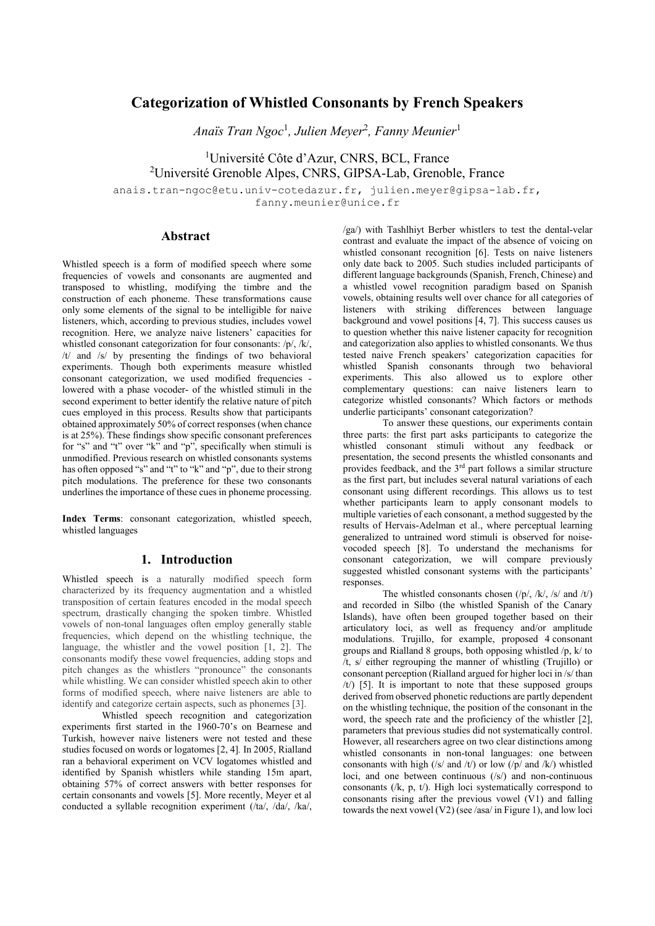# **Categorization of Whistled Consonants by French Speakers**

*Anaïs Tran Ngoc*<sup>1</sup> *, Julien Meyer*<sup>2</sup> *, Fanny Meunier*<sup>1</sup>

<sup>1</sup>Université Côte d'Azur, CNRS, BCL, France <sup>2</sup>Université Grenoble Alpes, CNRS, GIPSA-Lab, Grenoble, France

anais.tran-ngoc@etu.univ-cotedazur.fr, julien.meyer@gipsa-lab.fr, fanny.meunier@unice.fr

**Abstract**

Whistled speech is a form of modified speech where some frequencies of vowels and consonants are augmented and transposed to whistling, modifying the timbre and the construction of each phoneme. These transformations cause only some elements of the signal to be intelligible for naive listeners, which, according to previous studies, includes vowel recognition. Here, we analyze naive listeners' capacities for whistled consonant categorization for four consonants: /p/, /k/, /t/ and /s/ by presenting the findings of two behavioral experiments. Though both experiments measure whistled consonant categorization, we used modified frequencies lowered with a phase vocoder- of the whistled stimuli in the second experiment to better identify the relative nature of pitch cues employed in this process. Results show that participants obtained approximately 50% of correct responses (when chance is at 25%). These findings show specific consonant preferences for "s" and "t" over "k" and "p", specifically when stimuli is unmodified. Previous research on whistled consonants systems has often opposed "s" and "t" to "k" and "p", due to their strong pitch modulations. The preference for these two consonants underlines the importance of these cues in phoneme processing.

**Index Terms**: consonant categorization, whistled speech, whistled languages

## **1. Introduction**

Whistled speech is a naturally modified speech form responses. characterized by its frequency augmentation and a whistled transposition of certain features encoded in the modal speech spectrum, drastically changing the spoken timbre. Whistled vowels of non-tonal languages often employ generally stable frequencies, which depend on the whistling technique, the language, the whistler and the vowel position [1, 2]. The consonants modify these vowel frequencies, adding stops and pitch changes as the whistlers "pronounce" the consonants while whistling. We can consider whistled speech akin to other forms of modified speech, where naive listeners are able to identify and categorize certain aspects, such as phonemes [3].

Whistled speech recognition and categorization experiments first started in the 1960-70's on Bearnese and Turkish, however naive listeners were not tested and these studies focused on words or logatomes [2, 4]*.* In 2005, Rialland ran a behavioral experiment on VCV logatomes whistled and identified by Spanish whistlers while standing 15m apart, obtaining 57% of correct answers with better responses for certain consonants and vowels [5]. More recently, Meyer et al conducted a syllable recognition experiment (/ta/, /da/, /ka/, /ga/) with Tashlhiyt Berber whistlers to test the dental-velar contrast and evaluate the impact of the absence of voicing on whistled consonant recognition [6]. Tests on naive listeners only date back to 2005. Such studies included participants of different language backgrounds (Spanish, French, Chinese) and a whistled vowel recognition paradigm based on Spanish vowels, obtaining results well over chance for all categories of listeners with striking differences between language background and vowel positions [4, 7]. This success causes us to question whether this naive listener capacity for recognition and categorization also applies to whistled consonants. We thus tested naive French speakers' categorization capacities for whistled Spanish consonants through two behavioral experiments. This also allowed us to explore other complementary questions: can naive listeners learn to categorize whistled consonants? Which factors or methods underlie participants' consonant categorization?

To answer these questions, our experiments contain three parts: the first part asks participants to categorize the whistled consonant stimuli without any feedback or presentation, the second presents the whistled consonants and provides feedback, and the 3<sup>rd</sup> part follows a similar structure as the first part, but includes several natural variations of each consonant using different recordings. This allows us to test whether participants learn to apply consonant models to multiple varieties of each consonant, a method suggested by the results of Hervais-Adelman et al., where perceptual learning generalized to untrained word stimuli is observed for noise vocoded speech [8]. To understand the mechanisms for consonant categorization, we will compare previously suggested whistled consonant systems with the participants'

The whistled consonants chosen (/p/, /k/, /s/ and /t/) and recorded in Silbo (the whistled Spanish of the Canary Islands), have often been grouped together based on their articulatory loci, as well as frequency and/or amplitude modulations. Trujillo, for example, proposed 4 consonant groups and Rialland 8 groups, both opposing whistled /p, k/ to /t, s/ either regrouping the manner of whistling (Trujillo) or consonant perception (Rialland argued for higher loci in /s/ than /t/) [5]. It is important to note that these supposed groups derived from observed phonetic reductions are partly dependent on the whistling technique, the position of the consonant in the word, the speech rate and the proficiency of the whistler [2], parameters that previous studies did not systematically control. However, all researchers agree on two clear distinctions among whistled consonants in non-tonal languages: one between consonants with high (/s/ and /t/) or low (/p/ and /k/) whistled loci, and one between continuous (/s/) and non-continuous consonants (/k, p, t/). High loci systematically correspond to consonants rising after the previous vowel (V1) and falling towards the next vowel (V2) (see /asa/ in Figure 1), and low loci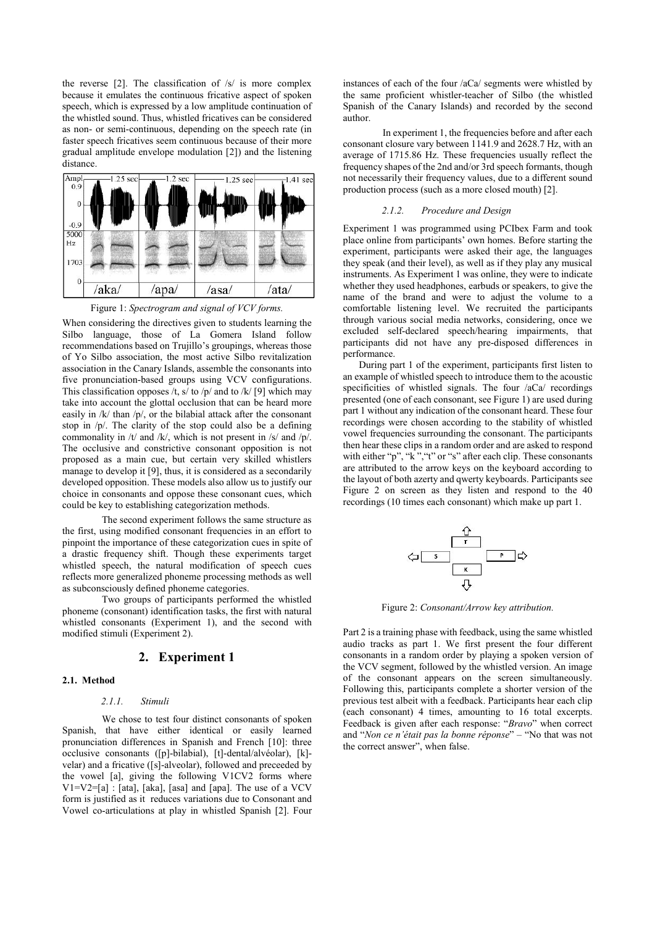the reverse  $[2]$ . The classification of  $/s/$  is more complex because it emulates the continuous fricative aspect of spoken speech, which is expressed by a low amplitude continuation of the whistled sound. Thus, whistled fricatives can be considered as non- or semi-continuous, depending on the speech rate (in faster speech fricatives seem continuous because of their more gradual amplitude envelope modulation [2]) and the listening distance.



Figure 1: *Spectrogram and signal of VCV forms.*

When considering the directives given to students learning the Silbo language, those of La Gomera Island follow recommendations based on Trujillo's groupings, whereas those of Yo Silbo association, the most active Silbo revitalization association in the Canary Islands, assemble the consonants into five pronunciation-based groups using VCV configurations. This classification opposes /t, s/ to /p/ and to /k/ [9] which may take into account the glottal occlusion that can be heard more easily in /k/ than /p/, or the bilabial attack after the consonant stop in /p/. The clarity of the stop could also be a defining commonality in /t/ and /k/, which is not present in /s/ and /p/. The occlusive and constrictive consonant opposition is not proposed as a main cue, but certain very skilled whistlers manage to develop it [9], thus, it is considered as a secondarily developed opposition. These models also allow us to justify our choice in consonants and oppose these consonant cues, which could be key to establishing categorization methods.

The second experiment follows the same structure as the first, using modified consonant frequencies in an effort to pinpoint the importance of these categorization cues in spite of a drastic frequency shift. Though these experiments target whistled speech, the natural modification of speech cues reflects more generalized phoneme processing methods as well as subconsciously defined phoneme categories.

Two groups of participants performed the whistled phoneme (consonant) identification tasks, the first with natural whistled consonants (Experiment 1), and the second with modified stimuli (Experiment 2).

## **2. Experiment 1**

## **2.1. Method**

## *2.1.1. Stimuli*

We chose to test four distinct consonants of spoken Spanish, that have either identical or easily learned pronunciation differences in Spanish and French [10]: three occlusive consonants ([p]-bilabial), [t]-dental/alvéolar), [k] velar) and a fricative ([s]-alveolar), followed and preceeded by the vowel [a], giving the following V1CV2 forms where V1=V2=[a] : [ata], [aka], [asa] and [apa]. The use of a VCV form is justified as it reduces variations due to Consonant and Vowel co-articulations at play in whistled Spanish [2]. Four instances of each of the four /aCa/ segments were whistled by the same proficient whistler-teacher of Silbo (the whistled Spanish of the Canary Islands) and recorded by the second author.

In experiment 1, the frequencies before and after each consonant closure vary between 1141.9 and 2628.7 Hz, with an average of 1715.86 Hz. These frequencies usually reflect the frequency shapes of the 2nd and/or 3rd speech formants, though not necessarily their frequency values, due to a different sound production process (such as a more closed mouth) [2].

#### *2.1.2. Procedure and Design*

Experiment 1 was programmed using PCIbex Farm and took place online from participants' own homes. Before starting the experiment, participants were asked their age, the languages they speak (and their level), as well as if they play any musical instruments. As Experiment 1 was online, they were to indicate whether they used headphones, earbuds or speakers, to give the name of the brand and were to adjust the volume to a comfortable listening level. We recruited the participants through various social media networks, considering, once we excluded self-declared speech/hearing impairments, that participants did not have any pre-disposed differences in performance.

During part 1 of the experiment, participants first listen to an example of whistled speech to introduce them to the acoustic specificities of whistled signals. The four /aCa/ recordings presented (one of each consonant, see Figure 1) are used during part 1 without any indication of the consonant heard. These four recordings were chosen according to the stability of whistled vowel frequencies surrounding the consonant. The participants then hear these clips in a random order and are asked to respond with either "p", "k", "t" or "s" after each clip. These consonants are attributed to the arrow keys on the keyboard according to the layout of both azerty and qwerty keyboards. Participants see Figure 2 on screen as they listen and respond to the 40 recordings (10 times each consonant) which make up part 1.



Figure 2: *Consonant/Arrow key attribution.*

Part 2 is a training phase with feedback, using the same whistled audio tracks as part 1. We first present the four different consonants in a random order by playing a spoken version of the VCV segment, followed by the whistled version. An image of the consonant appears on the screen simultaneously. Following this, participants complete a shorter version of the previous test albeit with a feedback. Participants hear each clip (each consonant) 4 times, amounting to 16 total excerpts. Feedback is given after each response: "*Bravo*" when correct and "*Non ce n'était pas la bonne réponse*" – "No that was not the correct answer", when false.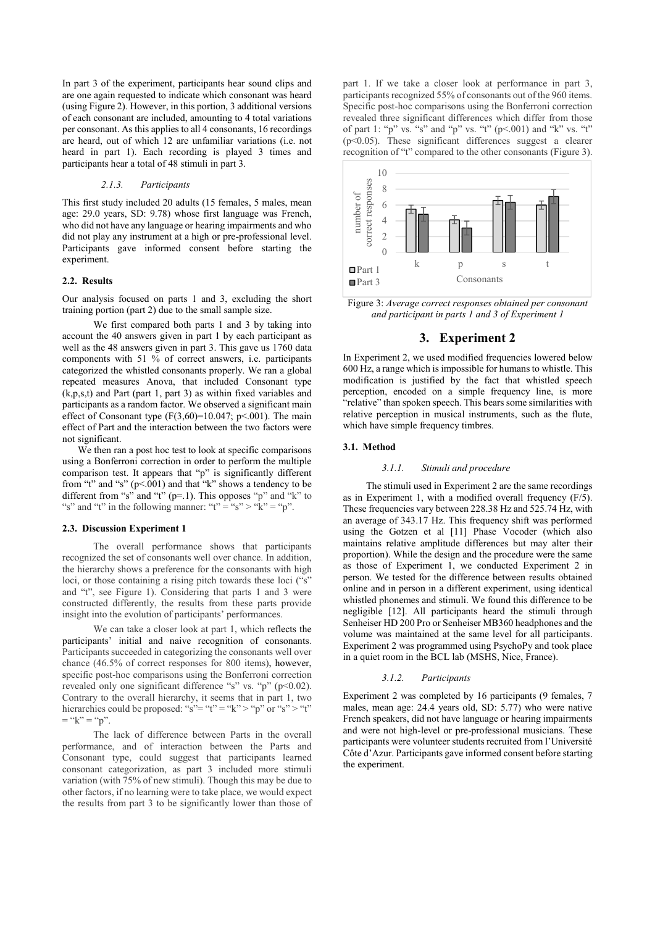In part 3 of the experiment, participants hear sound clips and are one again requested to indicate which consonant was heard (using Figure 2). However, in this portion, 3 additional versions of each consonant are included, amounting to 4 total variations per consonant. As this applies to all 4 consonants, 16 recordings are heard, out of which 12 are unfamiliar variations (i.e. not heard in part 1). Each recording is played 3 times and participants hear a total of 48 stimuli in part 3.

### *2.1.3. Participants*

This first study included 20 adults (15 females, 5 males, mean age: 29.0 years, SD: 9.78) whose first language was French, who did not have any language or hearing impairments and who did not play any instrument at a high or pre-professional level. Participants gave informed consent before starting the experiment.

#### **2.2. Results**

Our analysis focused on parts 1 and 3, excluding the short training portion (part 2) due to the small sample size.

We first compared both parts 1 and 3 by taking into account the 40 answers given in part 1 by each participant as well as the 48 answers given in part 3. This gave us 1760 data components with 51 % of correct answers, i.e. participants categorized the whistled consonants properly. We ran a global repeated measures Anova, that included Consonant type (k,p,s,t) and Part (part 1, part 3) as within fixed variables and participants as a random factor. We observed a significant main effect of Consonant type  $(F(3,60)=10.047; p<.001)$ . The main effect of Part and the interaction between the two factors were not significant.

We then ran a post hoc test to look at specific comparisons using a Bonferroni correction in order to perform the multiple comparison test. It appears that "p" is significantly different from "t" and "s"  $(p<.001)$  and that "k" shows a tendency to be different from "s" and "t" (p=.1). This opposes "p" and "k" to "s" and "t" in the following manner: "t" = "s" > "k" = "p".

## **2.3. Discussion Experiment 1**

The overall performance shows that participants recognized the set of consonants well over chance. In addition, the hierarchy shows a preference for the consonants with high loci, or those containing a rising pitch towards these loci ("s" and "t", see Figure 1). Considering that parts 1 and 3 were constructed differently, the results from these parts provide insight into the evolution of participants' performances.

We can take a closer look at part 1, which reflects the participants' initial and naive recognition of consonants. Participants succeeded in categorizing the consonants well over chance (46.5% of correct responses for 800 items), however, specific post-hoc comparisons using the Bonferroni correction revealed only one significant difference "s" vs. "p" (p<0.02). Contrary to the overall hierarchy, it seems that in part 1, two hierarchies could be proposed: "s"= "t" = "k" > "p" or "s" > "t"  $=$  "k" = "p".

The lack of difference between Parts in the overall performance, and of interaction between the Parts and Consonant type, could suggest that participants learned consonant categorization, as part 3 included more stimuli variation (with 75% of new stimuli). Though this may be due to other factors, if no learning were to take place, we would expect the results from part 3 to be significantly lower than those of part 1. If we take a closer look at performance in part 3, participants recognized 55% of consonants out of the 960 items. Specific post-hoc comparisons using the Bonferroni correction revealed three significant differences which differ from those of part 1: "p" vs. "s" and "p" vs. "t" ( $p$ <.001) and "k" vs. "t"  $(p<0.05)$ . These significant differences suggest a clearer recognition of "t" compared to the other consonants (Figure 3).



Figure 3: *Average correct responses obtained per consonant and participant in parts 1 and 3 of Experiment 1*

## **3. Experiment 2**

In Experiment 2, we used modified frequencies lowered below 600 Hz, a range which is impossible for humans to whistle. This modification is justified by the fact that whistled speech perception, encoded on a simple frequency line, is more "relative" than spoken speech. This bears some similarities with relative perception in musical instruments, such as the flute, which have simple frequency timbres.

#### **3.1. Method**

#### *3.1.1. Stimuli and procedure*

The stimuli used in Experiment 2 are the same recordings as in Experiment 1, with a modified overall frequency (F/5). These frequencies vary between 228.38 Hz and 525.74 Hz, with an average of 343.17 Hz. This frequency shift was performed using the Gotzen et al [11] Phase Vocoder (which also maintains relative amplitude differences but may alter their proportion). While the design and the procedure were the same as those of Experiment 1, we conducted Experiment 2 in person. We tested for the difference between results obtained online and in person in a different experiment, using identical whistled phonemes and stimuli. We found this difference to be negligible [12]. All participants heard the stimuli through Senheiser HD 200 Pro or Senheiser MB360 headphones and the volume was maintained at the same level for all participants. Experiment 2 was programmed using PsychoPy and took place in a quiet room in the BCL lab (MSHS, Nice, France).

#### *3.1.2. Participants*

Experiment 2 was completed by 16 participants (9 females, 7 males, mean age: 24.4 years old, SD: 5.77) who were native French speakers, did not have language or hearing impairments and were not high-level or pre-professional musicians. These participants were volunteer students recruited from l'Université Côte d'Azur. Participants gave informed consent before starting the experiment.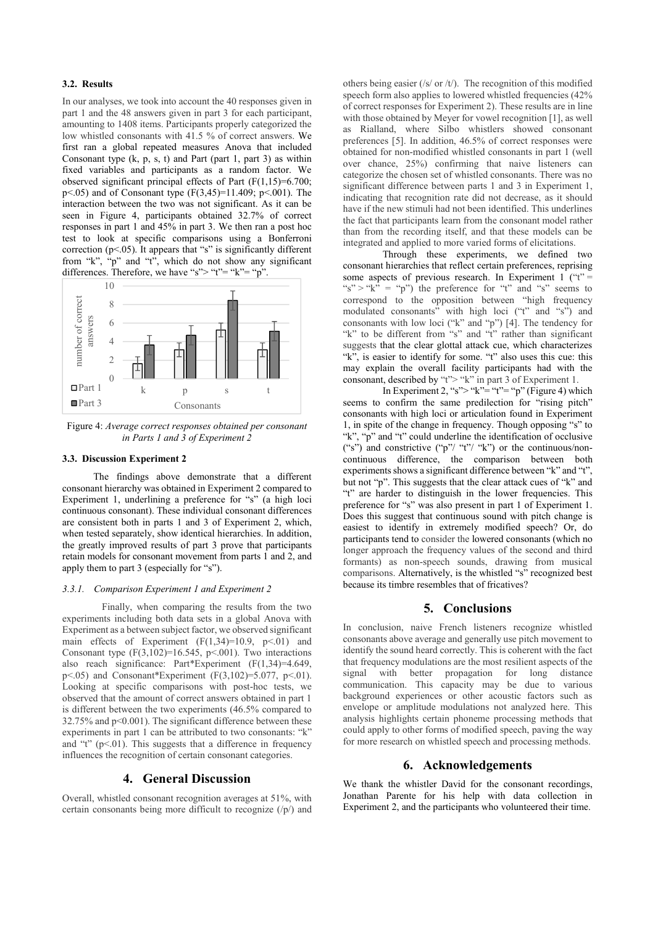## **3.2. Results**

In our analyses, we took into account the 40 responses given in part 1 and the 48 answers given in part 3 for each participant, amounting to 1408 items. Participants properly categorized the low whistled consonants with 41.5 % of correct answers. We first ran a global repeated measures Anova that included Consonant type  $(k, p, s, t)$  and Part (part 1, part 3) as within fixed variables and participants as a random factor. We observed significant principal effects of Part (F(1,15)=6.700;  $p$  <.05) and of Consonant type (F(3,45)=11.409; p <.001). The interaction between the two was not significant. As it can be seen in Figure 4, participants obtained 32.7% of correct responses in part 1 and 45% in part 3. We then ran a post hoc test to look at specific comparisons using a Bonferroni correction  $(p<.05)$ . It appears that "s" is significantly different from "k", "p" and "t", which do not show any significant differences. Therefore, we have "s"> "t"= "k"= "p".



Figure 4: *Average correct responses obtained per consonant in Parts 1 and 3 of Experiment 2*

#### **3.3. Discussion Experiment 2**

The findings above demonstrate that a different consonant hierarchy was obtained in Experiment 2 compared to Experiment 1, underlining a preference for "s" (a high loci continuous consonant). These individual consonant differences are consistent both in parts 1 and 3 of Experiment 2, which, when tested separately, show identical hierarchies. In addition, the greatly improved results of part 3 prove that participants retain models for consonant movement from parts 1 and 2, and apply them to part 3 (especially for "s").

## *3.3.1. Comparison Experiment 1 and Experiment 2*

Finally, when comparing the results from the two experiments including both data sets in a global Anova with Experiment as a between subject factor, we observed significant main effects of Experiment  $(F(1,34)=10.9, p<.01)$  and Consonant type  $(F(3,102)=16.545, p<.001)$ . Two interactions also reach significance: Part\*Experiment (F(1,34)=4.649, p<.05) and Consonant\*Experiment (F $(3,102) = 5.077$ , p<.01). Looking at specific comparisons with post-hoc tests, we observed that the amount of correct answers obtained in part 1 is different between the two experiments (46.5% compared to 32.75% and p<0.001). The significant difference between these experiments in part 1 can be attributed to two consonants: "k" and "t"  $(p<.01)$ . This suggests that a difference in frequency influences the recognition of certain consonant categories.

## **4. General Discussion**

Overall, whistled consonant recognition averages at 51%, with certain consonants being more difficult to recognize (/p/) and others being easier (/s/ or /t/). The recognition of this modified speech form also applies to lowered whistled frequencies (42% of correct responses for Experiment 2). These results are in line with those obtained by Meyer for vowel recognition [1], as well as Rialland, where Silbo whistlers showed consonant preferences [5]. In addition, 46.5% of correct responses were obtained for non-modified whistled consonants in part 1 (well over chance, 25%) confirming that naive listeners can categorize the chosen set of whistled consonants. There was no significant difference between parts 1 and 3 in Experiment 1, indicating that recognition rate did not decrease, as it should have if the new stimuli had not been identified. This underlines the fact that participants learn from the consonant model rather than from the recording itself, and that these models can be integrated and applied to more varied forms of elicitations.

Through these experiments, we defined two consonant hierarchies that reflect certain preferences, reprising some aspects of previous research. In Experiment 1 ("t" = "s" > "k" = "p") the preference for "t" and "s" seems to correspond to the opposition between "high frequency modulated consonants" with high loci ("t" and "s") and consonants with low loci ("k" and "p") [4]. The tendency for "k" to be different from "s" and "t" rather than significant suggests that the clear glottal attack cue, which characterizes "k", is easier to identify for some. "t" also uses this cue: this may explain the overall facility participants had with the consonant, described by "t"> "k" in part 3 of Experiment 1.

In Experiment 2, "s"> "k"= "t"= "p" (Figure 4) which seems to confirm the same predilection for "rising pitch" consonants with high loci or articulation found in Experiment 1, in spite of the change in frequency. Though opposing "s" to "k", "p" and "t" could underline the identification of occlusive ("s") and constrictive ("p"/ "t"/ "k") or the continuous/non continuous difference, the comparison between both experiments shows a significant difference between "k" and "t", but not "p". This suggests that the clear attack cues of "k" and "t" are harder to distinguish in the lower frequencies. This preference for "s" was also present in part 1 of Experiment 1. Does this suggest that continuous sound with pitch change is easiest to identify in extremely modified speech? Or, do participants tend to consider the lowered consonants (which no longer approach the frequency values of the second and third formants) as non-speech sounds, drawing from musical comparisons. Alternatively, is the whistled "s" recognized best because its timbre resembles that of fricatives?

## **5. Conclusions**

In conclusion, naive French listeners recognize whistled consonants above average and generally use pitch movement to identify the sound heard correctly. This is coherent with the fact that frequency modulations are the most resilient aspects of the signal with better propagation for long distance signal with better propagation for long distance communication. This capacity may be due to various background experiences or other acoustic factors such as envelope or amplitude modulations not analyzed here. This analysis highlights certain phoneme processing methods that could apply to other forms of modified speech, paving the way for more research on whistled speech and processing methods.

## **6. Acknowledgements**

We thank the whistler David for the consonant recordings, Jonathan Parente for his help with data collection in Experiment 2, and the participants who volunteered their time.